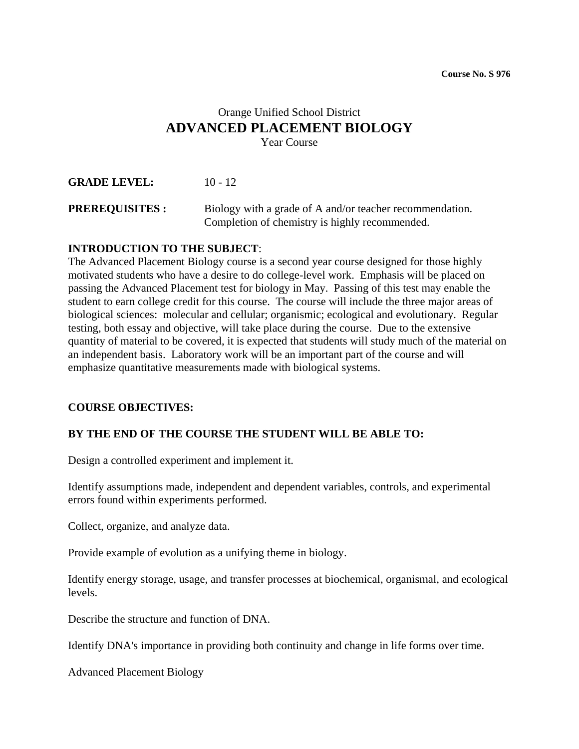# Orange Unified School District **ADVANCED PLACEMENT BIOLOGY** Year Course

**GRADE LEVEL:** 10 - 12

**PREREQUISITES :** Biology with a grade of A and/or teacher recommendation. Completion of chemistry is highly recommended.

#### **INTRODUCTION TO THE SUBJECT**:

The Advanced Placement Biology course is a second year course designed for those highly motivated students who have a desire to do college-level work. Emphasis will be placed on passing the Advanced Placement test for biology in May. Passing of this test may enable the student to earn college credit for this course. The course will include the three major areas of biological sciences: molecular and cellular; organismic; ecological and evolutionary. Regular testing, both essay and objective, will take place during the course. Due to the extensive quantity of material to be covered, it is expected that students will study much of the material on an independent basis. Laboratory work will be an important part of the course and will emphasize quantitative measurements made with biological systems.

#### **COURSE OBJECTIVES:**

#### **BY THE END OF THE COURSE THE STUDENT WILL BE ABLE TO:**

Design a controlled experiment and implement it.

Identify assumptions made, independent and dependent variables, controls, and experimental errors found within experiments performed.

Collect, organize, and analyze data.

Provide example of evolution as a unifying theme in biology.

Identify energy storage, usage, and transfer processes at biochemical, organismal, and ecological levels.

Describe the structure and function of DNA.

Identify DNA's importance in providing both continuity and change in life forms over time.

Advanced Placement Biology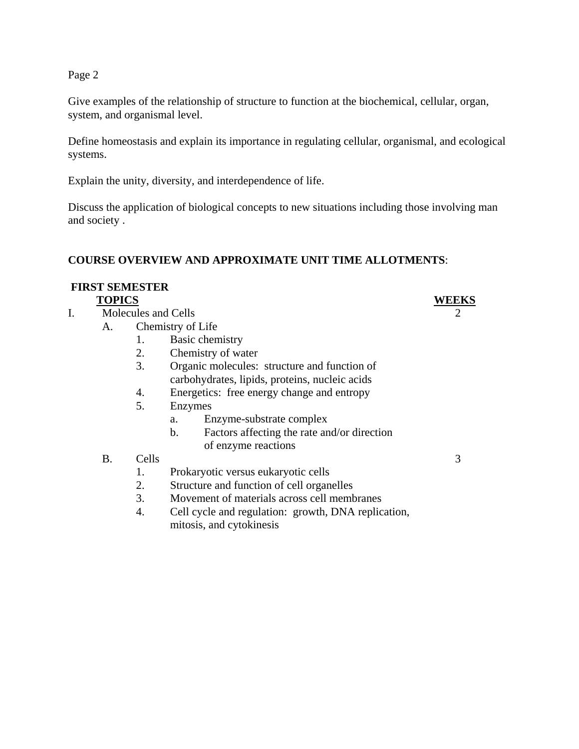Page 2

Give examples of the relationship of structure to function at the biochemical, cellular, organ, system, and organismal level.

Define homeostasis and explain its importance in regulating cellular, organismal, and ecological systems.

Explain the unity, diversity, and interdependence of life.

Discuss the application of biological concepts to new situations including those involving man and society .

# **COURSE OVERVIEW AND APPROXIMATE UNIT TIME ALLOTMENTS**:

# **FIRST SEMESTER**

- I. Molecules and Cells 2
	- A. Chemistry of Life
		- 1. Basic chemistry
		- 2. Chemistry of water
		- 3. Organic molecules: structure and function of carbohydrates, lipids, proteins, nucleic acids
		- 4. Energetics: free energy change and entropy
		- 5. Enzymes
			- a. Enzyme-substrate complex
			- b. Factors affecting the rate and/or direction of enzyme reactions
		- B. Cells 3
			- 1. Prokaryotic versus eukaryotic cells
			- 2. Structure and function of cell organelles
			- 3. Movement of materials across cell membranes
			- 4. Cell cycle and regulation: growth, DNA replication, mitosis, and cytokinesis

# **TOPICS WEEKS**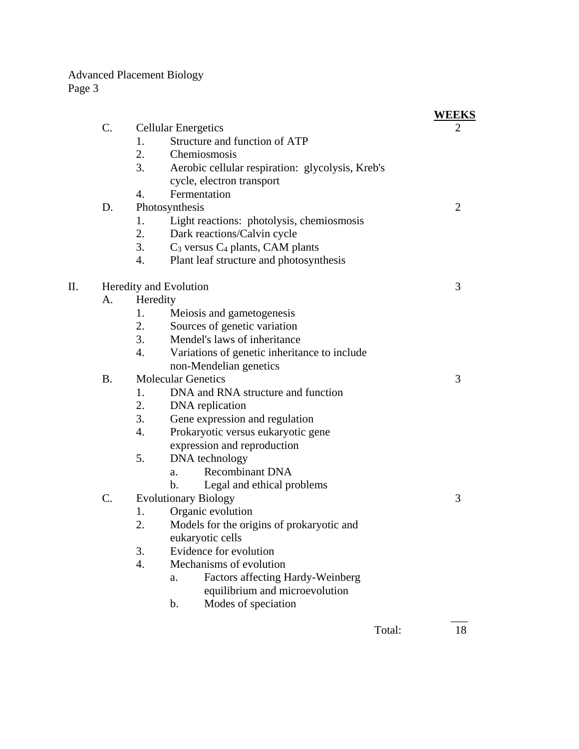|    |                        |                                                        | <b>WEEKS</b> |
|----|------------------------|--------------------------------------------------------|--------------|
|    | C.                     | <b>Cellular Energetics</b>                             | 2            |
|    |                        | Structure and function of ATP<br>1.                    |              |
|    |                        | 2.<br>Chemiosmosis                                     |              |
|    |                        | 3.<br>Aerobic cellular respiration: glycolysis, Kreb's |              |
|    |                        | cycle, electron transport                              |              |
|    |                        | Fermentation<br>4.                                     |              |
|    | D.                     | Photosynthesis                                         | 2            |
|    |                        | Light reactions: photolysis, chemiosmosis<br>1.        |              |
|    |                        | 2.<br>Dark reactions/Calvin cycle                      |              |
|    |                        | 3.<br>$C_3$ versus $C_4$ plants, CAM plants            |              |
|    |                        | Plant leaf structure and photosynthesis<br>4.          |              |
| П. | Heredity and Evolution | 3                                                      |              |
|    | A.                     | Heredity                                               |              |
|    |                        | Meiosis and gametogenesis<br>1.                        |              |
|    |                        | 2.<br>Sources of genetic variation                     |              |
|    |                        | 3.<br>Mendel's laws of inheritance                     |              |
|    |                        | 4.<br>Variations of genetic inheritance to include     |              |
|    |                        | non-Mendelian genetics                                 |              |
|    | <b>B.</b>              | <b>Molecular Genetics</b>                              | 3            |
|    |                        | DNA and RNA structure and function<br>1.               |              |
|    |                        | 2.<br>DNA replication                                  |              |
|    |                        | 3.<br>Gene expression and regulation                   |              |
|    |                        | Prokaryotic versus eukaryotic gene<br>4.               |              |
|    |                        | expression and reproduction                            |              |
|    |                        | 5.<br>DNA technology                                   |              |
|    |                        | <b>Recombinant DNA</b><br>a.                           |              |
|    |                        | Legal and ethical problems<br>b.                       |              |
|    | C.                     | <b>Evolutionary Biology</b>                            | 3            |
|    |                        | Organic evolution<br>1.                                |              |
|    |                        | 2.<br>Models for the origins of prokaryotic and        |              |
|    |                        | eukaryotic cells                                       |              |
|    |                        | Evidence for evolution<br>3.                           |              |
|    |                        | 4.<br>Mechanisms of evolution                          |              |
|    |                        | <b>Factors affecting Hardy-Weinberg</b><br>a.          |              |
|    |                        | equilibrium and microevolution                         |              |
|    |                        | Modes of speciation<br>b.                              |              |
|    |                        | Total:                                                 | 18           |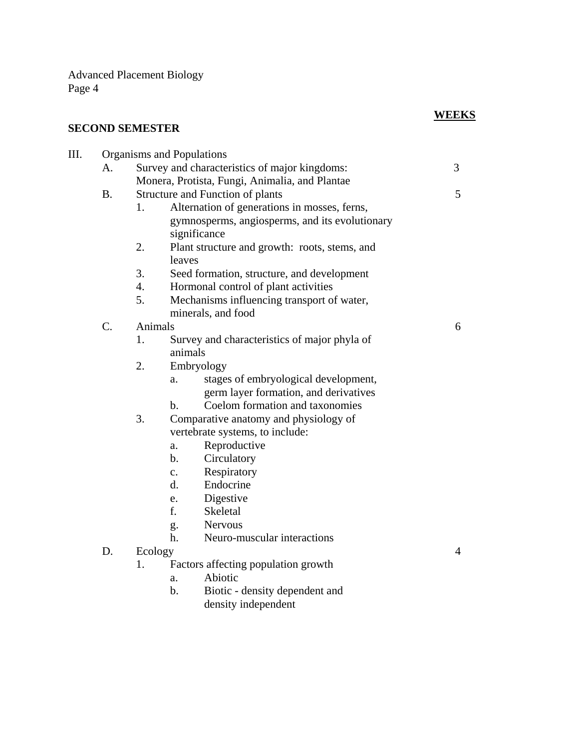# **SECOND SEMESTER**

# **WEEKS**

| III. | Organisms and Populations |                                                |                                                   |                |  |
|------|---------------------------|------------------------------------------------|---------------------------------------------------|----------------|--|
|      | A.                        | Survey and characteristics of major kingdoms:  |                                                   | 3              |  |
|      |                           | Monera, Protista, Fungi, Animalia, and Plantae |                                                   |                |  |
|      | <b>B.</b>                 | Structure and Function of plants               |                                                   | 5              |  |
|      |                           | 1.                                             | Alternation of generations in mosses, ferns,      |                |  |
|      |                           |                                                | gymnosperms, angiosperms, and its evolutionary    |                |  |
|      |                           |                                                | significance                                      |                |  |
|      |                           | 2.                                             | Plant structure and growth: roots, stems, and     |                |  |
|      |                           |                                                | leaves                                            |                |  |
|      |                           | 3.                                             | Seed formation, structure, and development        |                |  |
|      |                           | 4.                                             | Hormonal control of plant activities              |                |  |
|      |                           | 5.                                             | Mechanisms influencing transport of water,        |                |  |
|      |                           |                                                | minerals, and food                                |                |  |
|      | C.                        | Animals                                        |                                                   | 6              |  |
|      |                           | 1.                                             | Survey and characteristics of major phyla of      |                |  |
|      |                           |                                                | animals                                           |                |  |
|      |                           | 2.                                             | Embryology                                        |                |  |
|      |                           |                                                | stages of embryological development,<br>a.        |                |  |
|      |                           |                                                | germ layer formation, and derivatives             |                |  |
|      |                           |                                                | Coelom formation and taxonomies<br>$\mathbf{b}$ . |                |  |
|      |                           | 3.                                             | Comparative anatomy and physiology of             |                |  |
|      |                           |                                                | vertebrate systems, to include:                   |                |  |
|      |                           |                                                | Reproductive<br>a.                                |                |  |
|      |                           |                                                | b.<br>Circulatory                                 |                |  |
|      |                           |                                                | Respiratory<br>$\mathbf{c}$ .                     |                |  |
|      |                           |                                                | Endocrine<br>d.                                   |                |  |
|      |                           |                                                | Digestive<br>e.                                   |                |  |
|      |                           |                                                | f.<br>Skeletal                                    |                |  |
|      |                           |                                                | <b>Nervous</b><br>g.                              |                |  |
|      |                           |                                                | Neuro-muscular interactions<br>h.                 |                |  |
|      | D.                        | Ecology                                        |                                                   | $\overline{4}$ |  |
|      |                           | 1.                                             | Factors affecting population growth               |                |  |
|      |                           |                                                | Abiotic<br>a.                                     |                |  |
|      |                           |                                                | $b$ .<br>Biotic - density dependent and           |                |  |
|      |                           |                                                | density independent                               |                |  |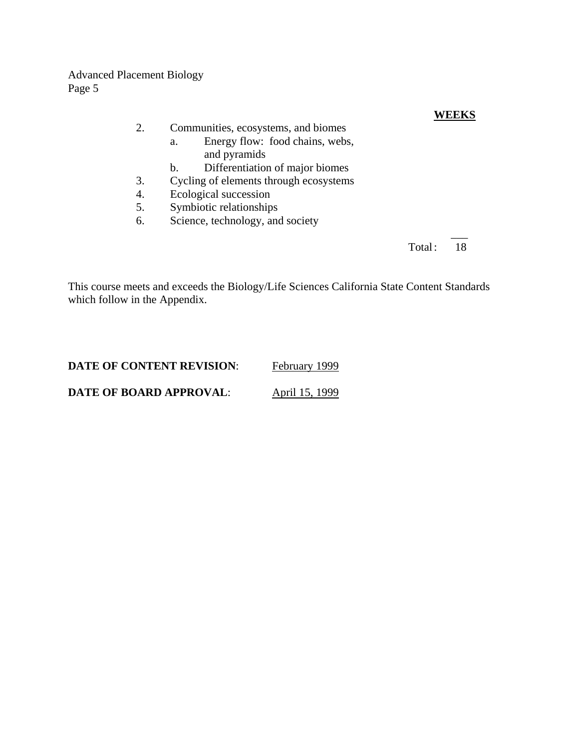### **WEEKS**

#### 2. Communities, ecosystems, and biomes

- a. Energy flow: food chains, webs, and pyramids
- b. Differentiation of major biomes
- 3. Cycling of elements through ecosystems
- 4. Ecological succession
- 5. Symbiotic relationships
- 6. Science, technology, and society

 $\frac{1}{2}$ Total: 18

This course meets and exceeds the Biology/Life Sciences California State Content Standards which follow in the Appendix.

| <b>DATE OF CONTENT REVISION:</b> | February 1999  |
|----------------------------------|----------------|
| <b>DATE OF BOARD APPROVAL:</b>   | April 15, 1999 |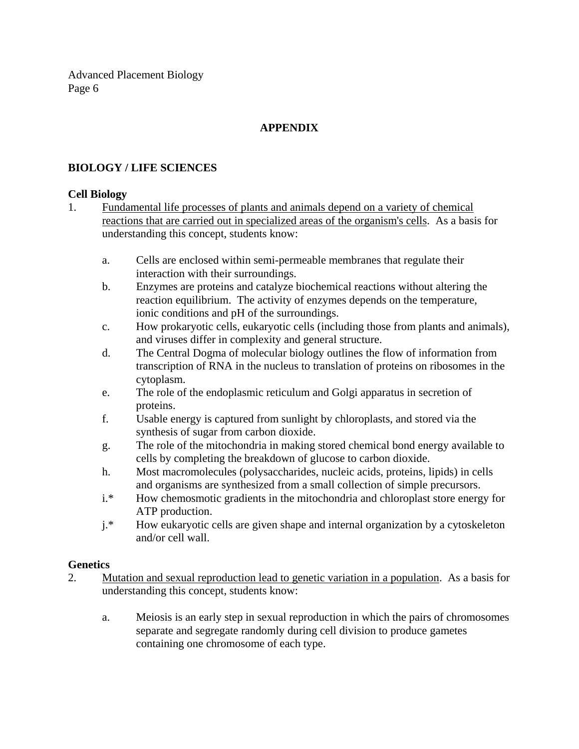# **APPENDIX**

# **BIOLOGY / LIFE SCIENCES**

#### **Cell Biology**

- 1. Fundamental life processes of plants and animals depend on a variety of chemical reactions that are carried out in specialized areas of the organism's cells. As a basis for understanding this concept, students know:
	- a. Cells are enclosed within semi-permeable membranes that regulate their interaction with their surroundings.
	- b. Enzymes are proteins and catalyze biochemical reactions without altering the reaction equilibrium. The activity of enzymes depends on the temperature, ionic conditions and pH of the surroundings.
	- c. How prokaryotic cells, eukaryotic cells (including those from plants and animals), and viruses differ in complexity and general structure.
	- d. The Central Dogma of molecular biology outlines the flow of information from transcription of RNA in the nucleus to translation of proteins on ribosomes in the cytoplasm.
	- e. The role of the endoplasmic reticulum and Golgi apparatus in secretion of proteins.
	- f. Usable energy is captured from sunlight by chloroplasts, and stored via the synthesis of sugar from carbon dioxide.
	- g. The role of the mitochondria in making stored chemical bond energy available to cells by completing the breakdown of glucose to carbon dioxide.
	- h. Most macromolecules (polysaccharides, nucleic acids, proteins, lipids) in cells and organisms are synthesized from a small collection of simple precursors.
	- i.\* How chemosmotic gradients in the mitochondria and chloroplast store energy for ATP production.
	- j.\* How eukaryotic cells are given shape and internal organization by a cytoskeleton and/or cell wall.

#### **Genetics**

- 2. Mutation and sexual reproduction lead to genetic variation in a population. As a basis for understanding this concept, students know:
	- a. Meiosis is an early step in sexual reproduction in which the pairs of chromosomes separate and segregate randomly during cell division to produce gametes containing one chromosome of each type.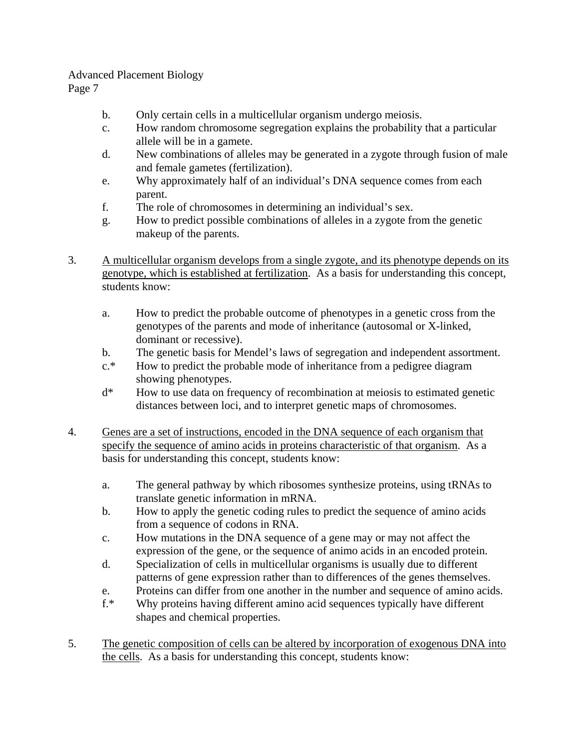Page 7

- b. Only certain cells in a multicellular organism undergo meiosis.
- c. How random chromosome segregation explains the probability that a particular allele will be in a gamete.
- d. New combinations of alleles may be generated in a zygote through fusion of male and female gametes (fertilization).
- e. Why approximately half of an individual's DNA sequence comes from each parent.
- f. The role of chromosomes in determining an individual's sex.
- g. How to predict possible combinations of alleles in a zygote from the genetic makeup of the parents.
- 3. A multicellular organism develops from a single zygote, and its phenotype depends on its genotype, which is established at fertilization. As a basis for understanding this concept, students know:
	- a. How to predict the probable outcome of phenotypes in a genetic cross from the genotypes of the parents and mode of inheritance (autosomal or X-linked, dominant or recessive).
	- b. The genetic basis for Mendel's laws of segregation and independent assortment.
	- c.\* How to predict the probable mode of inheritance from a pedigree diagram showing phenotypes.
	- d\* How to use data on frequency of recombination at meiosis to estimated genetic distances between loci, and to interpret genetic maps of chromosomes.
- 4. Genes are a set of instructions, encoded in the DNA sequence of each organism that specify the sequence of amino acids in proteins characteristic of that organism. As a basis for understanding this concept, students know:
	- a. The general pathway by which ribosomes synthesize proteins, using tRNAs to translate genetic information in mRNA.
	- b. How to apply the genetic coding rules to predict the sequence of amino acids from a sequence of codons in RNA.
	- c. How mutations in the DNA sequence of a gene may or may not affect the expression of the gene, or the sequence of animo acids in an encoded protein.
	- d. Specialization of cells in multicellular organisms is usually due to different patterns of gene expression rather than to differences of the genes themselves.
	- e. Proteins can differ from one another in the number and sequence of amino acids.
	- f.\* Why proteins having different amino acid sequences typically have different shapes and chemical properties.
- 5. The genetic composition of cells can be altered by incorporation of exogenous DNA into the cells. As a basis for understanding this concept, students know: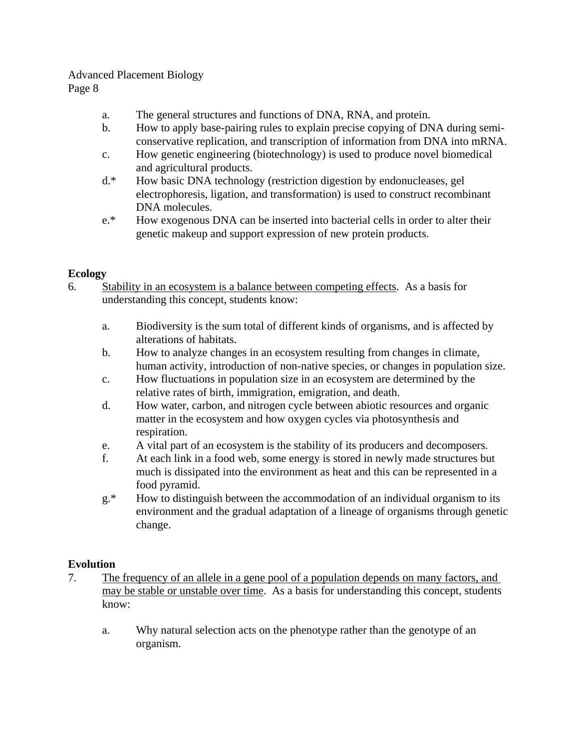Page 8

- a. The general structures and functions of DNA, RNA, and protein.
- b. How to apply base-pairing rules to explain precise copying of DNA during semiconservative replication, and transcription of information from DNA into mRNA.
- c. How genetic engineering (biotechnology) is used to produce novel biomedical and agricultural products.
- d.\* How basic DNA technology (restriction digestion by endonucleases, gel electrophoresis, ligation, and transformation) is used to construct recombinant DNA molecules.
- e.\* How exogenous DNA can be inserted into bacterial cells in order to alter their genetic makeup and support expression of new protein products.

# **Ecology**

- 6. Stability in an ecosystem is a balance between competing effects. As a basis for understanding this concept, students know:
	- a. Biodiversity is the sum total of different kinds of organisms, and is affected by alterations of habitats.
	- b. How to analyze changes in an ecosystem resulting from changes in climate, human activity, introduction of non-native species, or changes in population size.
	- c. How fluctuations in population size in an ecosystem are determined by the relative rates of birth, immigration, emigration, and death.
	- d. How water, carbon, and nitrogen cycle between abiotic resources and organic matter in the ecosystem and how oxygen cycles via photosynthesis and respiration.
	- e. A vital part of an ecosystem is the stability of its producers and decomposers.
	- f. At each link in a food web, some energy is stored in newly made structures but much is dissipated into the environment as heat and this can be represented in a food pyramid.
	- g.\* How to distinguish between the accommodation of an individual organism to its environment and the gradual adaptation of a lineage of organisms through genetic change.

# **Evolution**

- 7. The frequency of an allele in a gene pool of a population depends on many factors, and may be stable or unstable over time. As a basis for understanding this concept, students know:
	- a. Why natural selection acts on the phenotype rather than the genotype of an organism.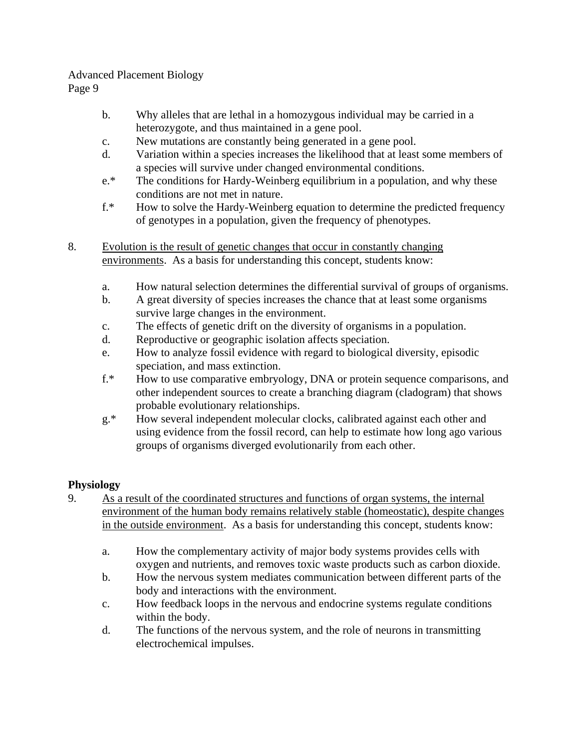Page 9

- b. Why alleles that are lethal in a homozygous individual may be carried in a heterozygote, and thus maintained in a gene pool.
- c. New mutations are constantly being generated in a gene pool.
- d. Variation within a species increases the likelihood that at least some members of a species will survive under changed environmental conditions.
- e.\* The conditions for Hardy-Weinberg equilibrium in a population, and why these conditions are not met in nature.
- f.\* How to solve the Hardy-Weinberg equation to determine the predicted frequency of genotypes in a population, given the frequency of phenotypes.
- 8. Evolution is the result of genetic changes that occur in constantly changing environments. As a basis for understanding this concept, students know:
	- a. How natural selection determines the differential survival of groups of organisms.
	- b. A great diversity of species increases the chance that at least some organisms survive large changes in the environment.
	- c. The effects of genetic drift on the diversity of organisms in a population.
	- d. Reproductive or geographic isolation affects speciation.
	- e. How to analyze fossil evidence with regard to biological diversity, episodic speciation, and mass extinction.
	- f.\* How to use comparative embryology, DNA or protein sequence comparisons, and other independent sources to create a branching diagram (cladogram) that shows probable evolutionary relationships.
	- g.\* How several independent molecular clocks, calibrated against each other and using evidence from the fossil record, can help to estimate how long ago various groups of organisms diverged evolutionarily from each other.

# **Physiology**

- 9. As a result of the coordinated structures and functions of organ systems, the internal environment of the human body remains relatively stable (homeostatic), despite changes in the outside environment. As a basis for understanding this concept, students know:
	- a. How the complementary activity of major body systems provides cells with oxygen and nutrients, and removes toxic waste products such as carbon dioxide.
	- b. How the nervous system mediates communication between different parts of the body and interactions with the environment.
	- c. How feedback loops in the nervous and endocrine systems regulate conditions within the body.
	- d. The functions of the nervous system, and the role of neurons in transmitting electrochemical impulses.